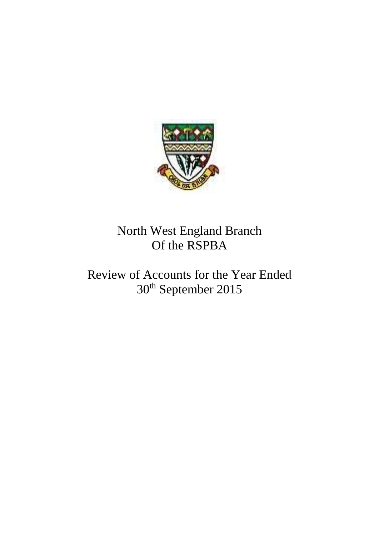

# North West England Branch Of the RSPBA

# Review of Accounts for the Year Ended 30th September 2015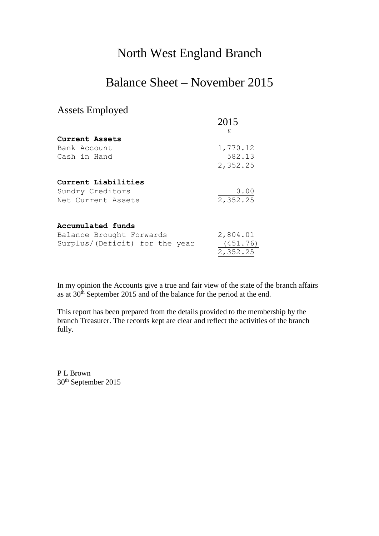#### North West England Branch

### Balance Sheet – November 2015

#### Assets Employed

|                                | 2015     |
|--------------------------------|----------|
|                                | £        |
| Current Assets                 |          |
| Bank Account                   | 1,770.12 |
| Cash in Hand                   | 582.13   |
|                                | 2,352.25 |
| Current Liabilities            |          |
| Sundry Creditors               | 0.00     |
| Net Current Assets             | 2,352.25 |
|                                |          |
| Accumulated funds              |          |
| Balance Brought Forwards       | 2,804.01 |
| Surplus/(Deficit) for the year | (451.76) |
|                                | 2,352.25 |

In my opinion the Accounts give a true and fair view of the state of the branch affairs as at 30<sup>th</sup> September 2015 and of the balance for the period at the end.

This report has been prepared from the details provided to the membership by the branch Treasurer. The records kept are clear and reflect the activities of the branch fully.

P L Brown 30<sup>th</sup> September 2015